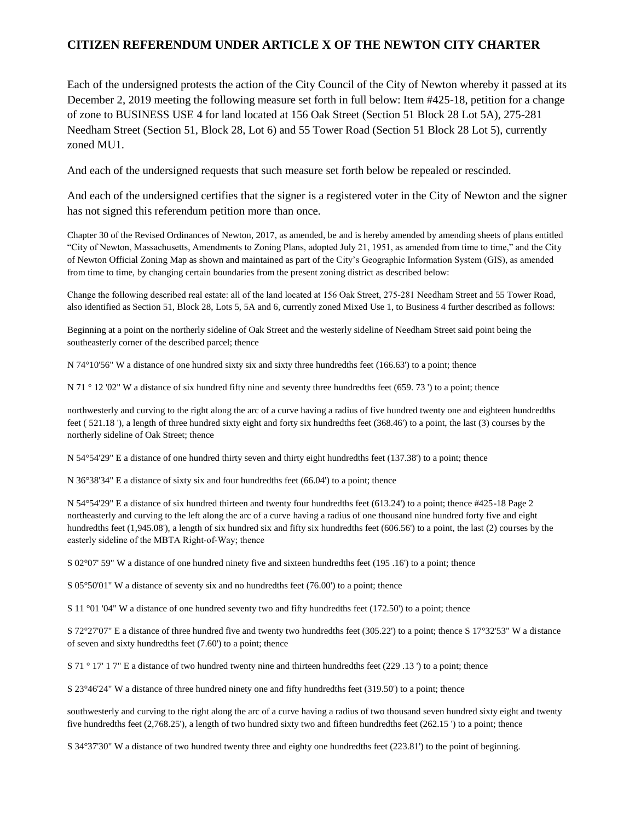## **CITIZEN REFERENDUM UNDER ARTICLE X OF THE NEWTON CITY CHARTER**

Each of the undersigned protests the action of the City Council of the City of Newton whereby it passed at its December 2, 2019 meeting the following measure set forth in full below: Item #425-18, petition for a change of zone to BUSINESS USE 4 for land located at 156 Oak Street (Section 51 Block 28 Lot 5A), 275-281 Needham Street (Section 51, Block 28, Lot 6) and 55 Tower Road (Section 51 Block 28 Lot 5), currently zoned MU1.

And each of the undersigned requests that such measure set forth below be repealed or rescinded.

And each of the undersigned certifies that the signer is a registered voter in the City of Newton and the signer has not signed this referendum petition more than once.

Chapter 30 of the Revised Ordinances of Newton, 2017, as amended, be and is hereby amended by amending sheets of plans entitled "City of Newton, Massachusetts, Amendments to Zoning Plans, adopted July 21, 1951, as amended from time to time," and the City of Newton Official Zoning Map as shown and maintained as part of the City's Geographic Information System (GIS), as amended from time to time, by changing certain boundaries from the present zoning district as described below:

Change the following described real estate: all of the land located at 156 Oak Street, 275‐281 Needham Street and 55 Tower Road, also identified as Section 51, Block 28, Lots 5, 5A and 6, currently zoned Mixed Use 1, to Business 4 further described as follows:

Beginning at a point on the northerly sideline of Oak Street and the westerly sideline of Needham Street said point being the southeasterly corner of the described parcel; thence

N 74°10'56" W a distance of one hundred sixty six and sixty three hundredths feet (166.63') to a point; thence

N 71 ° 12 '02" W a distance of six hundred fifty nine and seventy three hundredths feet (659. 73 ') to a point; thence

northwesterly and curving to the right along the arc of a curve having a radius of five hundred twenty one and eighteen hundredths feet ( 521.18 '), a length of three hundred sixty eight and forty six hundredths feet (368.46') to a point, the last (3) courses by the northerly sideline of Oak Street; thence

N 54°54'29" E a distance of one hundred thirty seven and thirty eight hundredths feet (137.38') to a point; thence

N 36°38'34" E a distance of sixty six and four hundredths feet (66.04') to a point; thence

N 54°54'29" E a distance of six hundred thirteen and twenty four hundredths feet (613.24') to a point; thence #425-18 Page 2 northeasterly and curving to the left along the arc of a curve having a radius of one thousand nine hundred forty five and eight hundredths feet (1,945.08'), a length of six hundred six and fifty six hundredths feet (606.56') to a point, the last (2) courses by the easterly sideline of the MBTA Right‐of‐Way; thence

S 02°07' 59" W a distance of one hundred ninety five and sixteen hundredths feet (195 .16') to a point; thence

S 05°50'01" W a distance of seventy six and no hundredths feet (76.00') to a point; thence

S 11 °01 '04" W a distance of one hundred seventy two and fifty hundredths feet (172.50') to a point; thence

S 72°27'07" E a distance of three hundred five and twenty two hundredths feet (305.22') to a point; thence S 17°32'53" W a distance of seven and sixty hundredths feet (7.60') to a point; thence

S 71 ° 17' 1 7" E a distance of two hundred twenty nine and thirteen hundredths feet (229 .13 ') to a point; thence

S 23°46'24" W a distance of three hundred ninety one and fifty hundredths feet (319.50') to a point; thence

southwesterly and curving to the right along the arc of a curve having a radius of two thousand seven hundred sixty eight and twenty five hundredths feet (2,768.25'), a length of two hundred sixty two and fifteen hundredths feet (262.15 ') to a point; thence

S 34°37'30" W a distance of two hundred twenty three and eighty one hundredths feet (223.81') to the point of beginning.